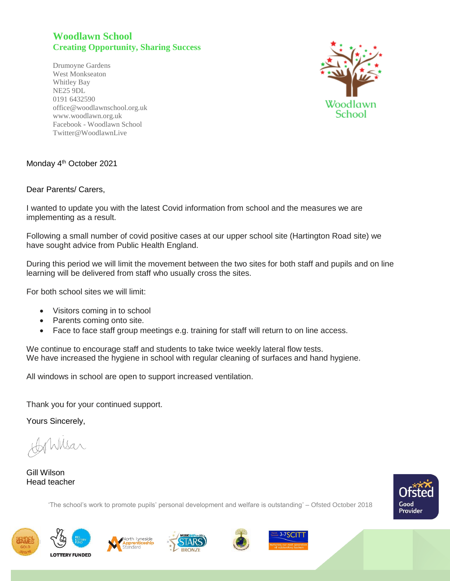## **Woodlawn School Creating Opportunity, Sharing Success**

Drumoyne Gardens West Monkseaton Whitley Bay NE25 9DL 0191 6432590 office@woodlawnschool.org.uk [www.woodlawn.](http://www.woodlawn/)org.uk Facebook - Woodlawn School Twitter@WoodlawnLive



## Monday 4<sup>th</sup> October 2021

## Dear Parents/ Carers,

I wanted to update you with the latest Covid information from school and the measures we are implementing as a result.

Following a small number of covid positive cases at our upper school site (Hartington Road site) we have sought advice from Public Health England.

During this period we will limit the movement between the two sites for both staff and pupils and on line learning will be delivered from staff who usually cross the sites.

For both school sites we will limit:

- Visitors coming in to school
- Parents coming onto site.
- Face to face staff group meetings e.g. training for staff will return to on line access.

We continue to encourage staff and students to take twice weekly lateral flow tests. We have increased the hygiene in school with regular cleaning of surfaces and hand hygiene.

All windows in school are open to support increased ventilation.

Thank you for your continued support.

Yours Sincerely,

Nkar

Gill Wilson Head teacher

'The school's work to promote pupils' personal development and welfare is outstanding' – Ofsted October 2018